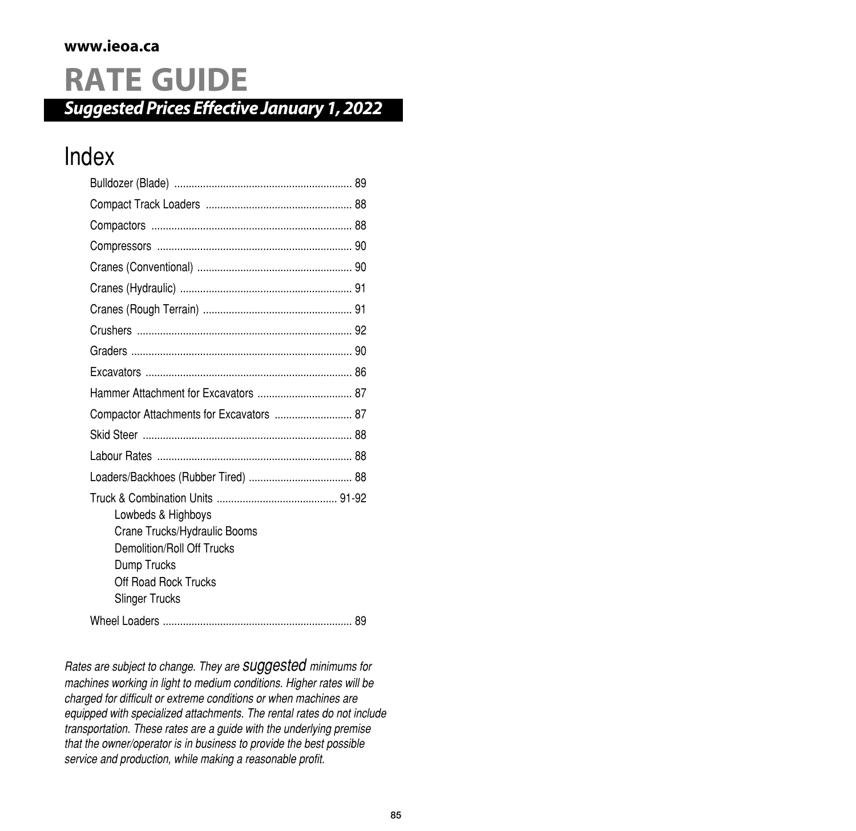#### **www.ieoa.ca**

# **RATE GUIDE**

*SuggestedPrices Effective January1,2022*

### Index

| Compactor Attachments for Excavators  87                                                                                                         |
|--------------------------------------------------------------------------------------------------------------------------------------------------|
|                                                                                                                                                  |
|                                                                                                                                                  |
|                                                                                                                                                  |
| Lowbeds & Highboys<br>Crane Trucks/Hydraulic Booms<br>Demolition/Roll Off Trucks<br>Dump Trucks<br>Off Road Rock Trucks<br><b>Slinger Trucks</b> |
|                                                                                                                                                  |

*Rates are subject to change. They are suggested minimums for machines working in light to medium conditions. Higher rates will be charged for difficult or extreme conditions or when machines are equipped with specialized attachments. The rental rates do not include transportation. These rates are a guide with the underlying premise that the owner/operator is in business to provide the best possible service and production, while making a reasonable profit.*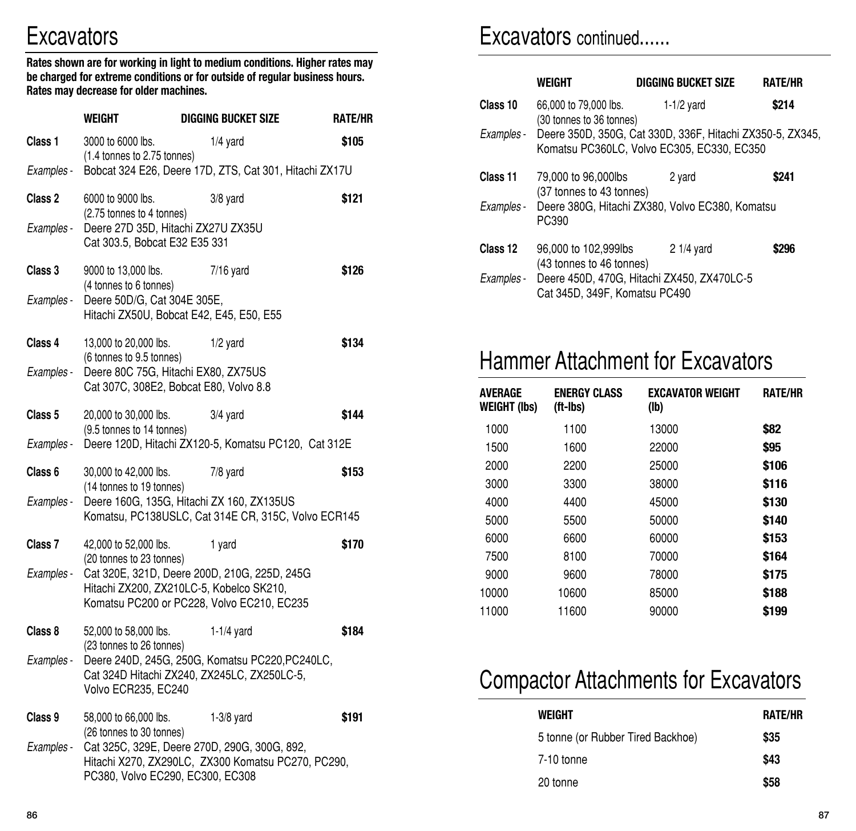# **Excavators**

**Rates shown are for working in light to medium conditions. Higher rates may be charged for extreme conditions or for outside of regular business hours. Rates may decrease for older machines.**

|            | WEIGHT                                                                        | <b>DIGGING BUCKET SIZE</b>                                                                                                             | <b>RATE/HR</b> |
|------------|-------------------------------------------------------------------------------|----------------------------------------------------------------------------------------------------------------------------------------|----------------|
| Class 1    | 3000 to 6000 lbs.<br>(1.4 tonnes to 2.75 tonnes)                              | $1/4$ yard                                                                                                                             | \$105          |
| Examples - |                                                                               | Bobcat 324 E26, Deere 17D, ZTS, Cat 301, Hitachi ZX17U                                                                                 |                |
| Class 2    | 6000 to 9000 lbs.<br>(2.75 tonnes to 4 tonnes)                                | $3/8$ yard                                                                                                                             | \$121          |
| Examples - | Deere 27D 35D, Hitachi ZX27U ZX35U<br>Cat 303.5, Bobcat E32 E35 331           |                                                                                                                                        |                |
| Class 3    | 9000 to 13,000 lbs.<br>(4 tonnes to 6 tonnes)                                 | $7/16$ yard                                                                                                                            | \$126          |
| Examples - | Deere 50D/G, Cat 304E 305E,<br>Hitachi ZX50U, Bobcat E42, E45, E50, E55       |                                                                                                                                        |                |
| Class 4    | 13,000 to 20,000 lbs.<br>(6 tonnes to 9.5 tonnes)                             | $1/2$ yard                                                                                                                             | \$134          |
| Examples - | Deere 80C 75G, Hitachi EX80, ZX75US<br>Cat 307C, 308E2, Bobcat E80, Volvo 8.8 |                                                                                                                                        |                |
| Class 5    | 20,000 to 30,000 lbs.<br>(9.5 tonnes to 14 tonnes)                            | $3/4$ yard                                                                                                                             | \$144          |
| Examples - |                                                                               | Deere 120D, Hitachi ZX120-5, Komatsu PC120, Cat 312E                                                                                   |                |
| Class 6    | 30,000 to 42,000 lbs.<br>(14 tonnes to 19 tonnes)                             | 7/8 yard                                                                                                                               | \$153          |
| Examples - |                                                                               | Deere 160G, 135G, Hitachi ZX 160, ZX135US<br>Komatsu, PC138USLC, Cat 314E CR, 315C, Volvo ECR145                                       |                |
| Class 7    | 42,000 to 52,000 lbs.<br>(20 tonnes to 23 tonnes)                             | 1 yard                                                                                                                                 | \$170          |
| Examples - |                                                                               | Cat 320E, 321D, Deere 200D, 210G, 225D, 245G<br>Hitachi ZX200, ZX210LC-5, Kobelco SK210,<br>Komatsu PC200 or PC228, Volvo EC210, EC235 |                |
| Class 8    | 52,000 to 58,000 lbs.<br>(23 tonnes to 26 tonnes)                             | $1-1/4$ yard                                                                                                                           | \$184          |
| Examples - | Volvo ECR235, EC240                                                           | Deere 240D, 245G, 250G, Komatsu PC220, PC240LC,<br>Cat 324D Hitachi ZX240, ZX245LC, ZX250LC-5,                                         |                |
| Class 9    | 58,000 to 66,000 lbs.<br>(26 tonnes to 30 tonnes)                             | $1-3/8$ yard                                                                                                                           | \$191          |
| Examples - | PC380, Volvo EC290, EC300, EC308                                              | Cat 325C, 329E, Deere 270D, 290G, 300G, 892,<br>Hitachi X270, ZX290LC, ZX300 Komatsu PC270, PC290,                                     |                |

#### Excavators continued......

|            | WEIGHT                                            | <b>DIGGING BUCKET SIZE</b>                                                                              | <b>RATE/HR</b> |
|------------|---------------------------------------------------|---------------------------------------------------------------------------------------------------------|----------------|
| Class 10   | 66,000 to 79,000 lbs.<br>(30 tonnes to 36 tonnes) | $1-1/2$ yard                                                                                            | \$214          |
| Examples - |                                                   | Deere 350D, 350G, Cat 330D, 336F, Hitachi ZX350-5, ZX345,<br>Komatsu PC360LC, Volvo EC305, EC330, EC350 |                |
| Class 11   | 79,000 to 96,000lbs<br>(37 tonnes to 43 tonnes)   | 2 yard                                                                                                  | \$241          |
| Examples - | PC390                                             | Deere 380G, Hitachi ZX380, Volvo EC380, Komatsu                                                         |                |
| Class 12   | 96,000 to 102,999lbs<br>(43 tonnes to 46 tonnes)  | $21/4$ yard                                                                                             | \$296          |
| Examples - | Cat 345D, 349F, Komatsu PC490                     | Deere 450D, 470G, Hitachi ZX450, ZX470LC-5                                                              |                |

### Hammer Attachment for Excavators

| <b>AVERAGE</b><br><b>WEIGHT (lbs)</b> | <b>ENERGY CLASS</b><br>(ft-Ibs) | <b>EXCAVATOR WEIGHT</b><br>(lb) | <b>RATE/HR</b> |
|---------------------------------------|---------------------------------|---------------------------------|----------------|
| 1000                                  | 1100                            | 13000                           | \$82           |
| 1500                                  | 1600                            | 22000                           | \$95           |
| 2000                                  | 2200                            | 25000                           | \$106          |
| 3000                                  | 3300                            | 38000                           | \$116          |
| 4000                                  | 4400                            | 45000                           | \$130          |
| 5000                                  | 5500                            | 50000                           | \$140          |
| 6000                                  | 6600                            | 60000                           | \$153          |
| 7500                                  | 8100                            | 70000                           | \$164          |
| 9000                                  | 9600                            | 78000                           | \$175          |
| 10000                                 | 10600                           | 85000                           | \$188          |
| 11000                                 | 11600                           | 90000                           | \$199          |

# Compactor Attachments for Excavators

| WEIGHT                            | <b>RATE/HR</b> |
|-----------------------------------|----------------|
| 5 tonne (or Rubber Tired Backhoe) | \$35           |
| 7-10 tonne                        | \$43           |
| 20 tonne                          | \$58           |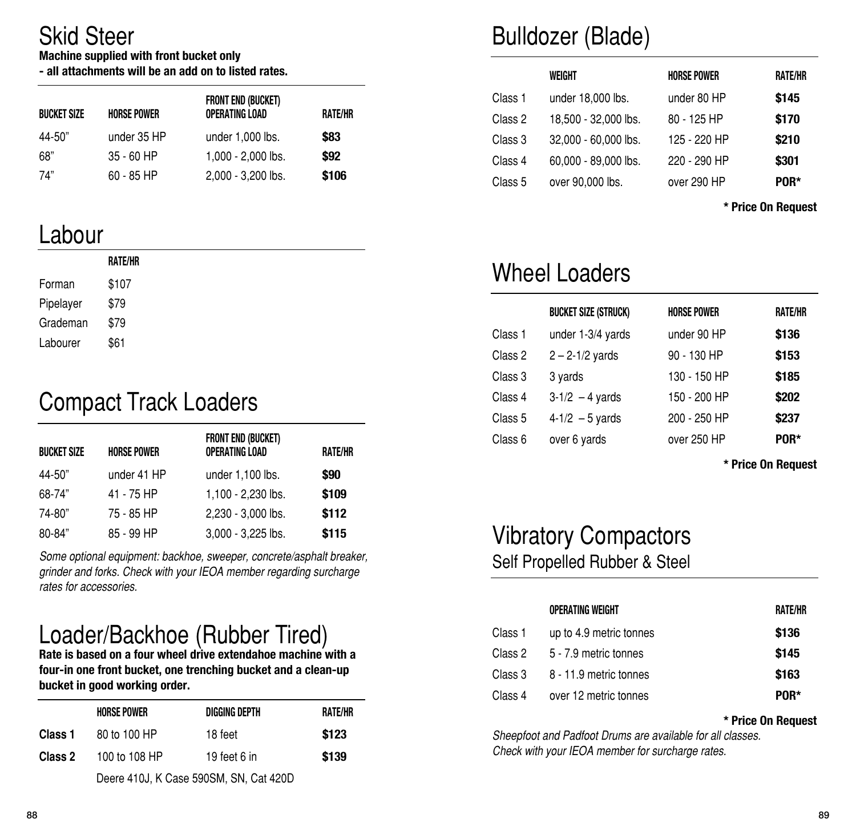### Skid Steer

#### **Machine supplied with front bucket only**

**- all attachments will be an add on to listed rates.**

| <b>BUCKET SIZE</b> | <b>HORSE POWER</b> | <b>FRONT END (BUCKET)</b><br>OPERATING LOAD | RATE/HR |
|--------------------|--------------------|---------------------------------------------|---------|
| 44-50"             | under 35 HP        | under 1,000 lbs.                            | \$83    |
| 68"                | $35 - 60$ HP       | 1.000 - 2.000 lbs.                          | \$92    |
| 74"                | $60 - 85$ HP       | 2,000 - 3,200 lbs.                          | \$106   |

### Labour

|           | RATE/HR |
|-----------|---------|
| Forman    | \$107   |
| Pipelayer | \$79    |
| Grademan  | \$79    |
| Labourer  | \$61    |
|           |         |

# Compact Track Loaders

| <b>BUCKET SIZE</b> | <b>HORSE POWER</b> | <b>FRONT END (BUCKET)</b><br>OPERATING LOAD | <b>RATE/HR</b> |
|--------------------|--------------------|---------------------------------------------|----------------|
| 44-50"             | under 41 HP        | under 1,100 lbs.                            | \$90           |
| 68-74"             | 41 - 75 HP         | 1,100 - 2,230 lbs.                          | \$109          |
| 74-80"             | 75 - 85 HP         | 2,230 - 3,000 lbs.                          | \$112          |
| 80-84"             | 85 - 99 HP         | 3,000 - 3,225 lbs.                          | \$115          |

*Some optional equipment: backhoe, sweeper, concrete/asphalt breaker, grinder and forks. Check with your IEOA member regarding surcharge rates for accessories.*

# Loader/Backhoe (Rubber Tired)

**Rate is based on a four wheel drive extendahoe machine with a four-in one front bucket, one trenching bucket and a clean-up bucket in good working order.**

|         | <b>HORSE POWER</b>                     | DIGGING DEPTH | RATE/HR |
|---------|----------------------------------------|---------------|---------|
| Class 1 | 80 to 100 HP                           | 18 feet       | \$123   |
| Class 2 | 100 to 108 HP                          | 19 feet 6 in  | \$139   |
|         | Deere 410J, K Case 590SM, SN, Cat 420D |               |         |

Deere 410J, K Case 590SM, SN, Cat 420D

# Bulldozer (Blade)

|         | WEIGHT               | <b>HORSE POWER</b> | RATE/HR |
|---------|----------------------|--------------------|---------|
| Class 1 | under 18,000 lbs.    | under 80 HP        | \$145   |
| Class 2 | 18,500 - 32,000 lbs. | 80 - 125 HP        | \$170   |
| Class 3 | 32,000 - 60,000 lbs. | 125 - 220 HP       | \$210   |
| Class 4 | 60,000 - 89,000 lbs. | 220 - 290 HP       | \$301   |
| Class 5 | over 90,000 lbs.     | over 290 HP        | POR*    |

**\* Price On Request**

### Wheel Loaders

|         | <b>BUCKET SIZE (STRUCK)</b> | <b>HORSE POWER</b> | <b>RATE/HR</b> |
|---------|-----------------------------|--------------------|----------------|
| Class 1 | under 1-3/4 yards           | under 90 HP        | \$136          |
| Class 2 | $2 - 2 - 1/2$ yards         | 90 - 130 HP        | \$153          |
| Class 3 | 3 yards                     | 130 - 150 HP       | \$185          |
| Class 4 | $3-1/2 - 4$ yards           | 150 - 200 HP       | \$202          |
| Class 5 | $4 - 1/2 - 5$ yards         | 200 - 250 HP       | \$237          |
| Class 6 | over 6 yards                | over 250 HP        | POR*           |

**\* Price On Request**

#### Vibratory Compactors Self Propelled Rubber & Steel

|         | OPERATING WEIGHT        | RATE/HR |
|---------|-------------------------|---------|
| Class 1 | up to 4.9 metric tonnes | \$136   |
| Class 2 | 5 - 7.9 metric tonnes   | \$145   |
| Class 3 | 8 - 11.9 metric tonnes  | \$163   |
| Class 4 | over 12 metric tonnes   | POR*    |

#### **\* Price On Request**

*Sheepfoot and Padfoot Drums are available for all classes. Check with your IEOA member for surcharge rates.*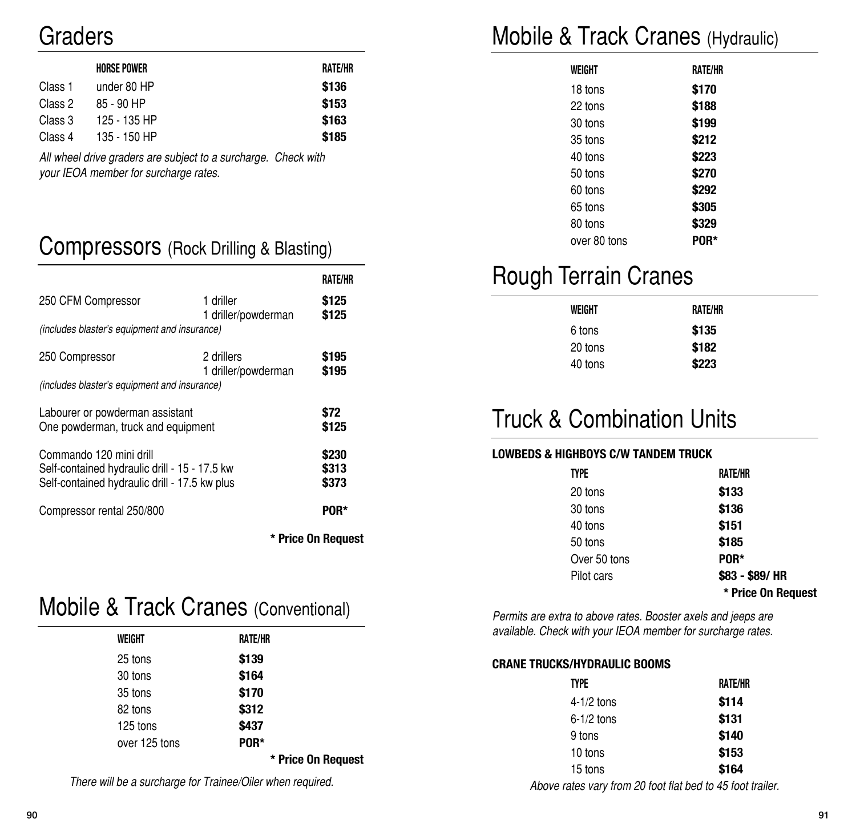### Graders

|         | <b>HORSE POWER</b> | RATE/HR |
|---------|--------------------|---------|
| Class 1 | under 80 HP        | \$136   |
| Class 2 | 85 - 90 HP         | \$153   |
| Class 3 | 125 - 135 HP       | \$163   |
| Class 4 | 135 - 150 HP       | \$185   |

*All wheel drive graders are subject to a surcharge. Check with your IEOA member for surcharge rates.*

#### Compressors (Rock Drilling & Blasting)

|                                                                                                |                                   | <b>RATE/HR</b> |
|------------------------------------------------------------------------------------------------|-----------------------------------|----------------|
| 250 CFM Compressor                                                                             | 1 driller<br>1 driller/powderman  | \$125<br>\$125 |
| (includes blaster's equipment and insurance)                                                   |                                   |                |
| 250 Compressor                                                                                 | 2 drillers<br>1 driller/powderman | S195<br>\$195  |
| (includes blaster's equipment and insurance)                                                   |                                   |                |
| Labourer or powderman assistant<br>One powderman, truck and equipment                          |                                   | \$72<br>\$125  |
| Commando 120 mini drill                                                                        |                                   | \$230          |
| Self-contained hydraulic drill - 15 - 17.5 kw<br>Self-contained hydraulic drill - 17.5 kw plus |                                   | \$313<br>\$373 |
| Compressor rental 250/800                                                                      |                                   | <b>POR*</b>    |
|                                                                                                | * Price On Reauest                |                |

#### Mobile & Track Cranes (Conventional)

| WEIGHT        | RATE/HR            |
|---------------|--------------------|
| 25 tons       | \$139              |
| 30 tons       | \$164              |
| 35 tons       | \$170              |
| 82 tons       | \$312              |
| 125 tons      | \$437              |
| over 125 tons | POR*               |
|               | * Price On Request |
|               |                    |

*There will be a surcharge for Trainee/Oiler when required.*

### Mobile & Track Cranes (Hydraulic)

| WEIGHT       | RATE/HR |
|--------------|---------|
| 18 tons      | \$170   |
| 22 tons      | \$188   |
| 30 tons      | \$199   |
| 35 tons      | \$212   |
| 40 tons      | \$223   |
| 50 tons      | \$270   |
| 60 tons      | \$292   |
| 65 tons      | \$305   |
| 80 tons      | \$329   |
| over 80 tons |         |
|              |         |

# Rough Terrain Cranes

| WEIGHT  | RATE/HR |
|---------|---------|
| 6 tons  | \$135   |
| 20 tons | \$182   |
| 40 tons | \$223   |

# Truck & Combination Units

#### **LOWBEDS & HIGHBOYS C/W TANDEM TRUCK**

| TYPE         | <b>RATE/HR</b>     |
|--------------|--------------------|
| 20 tons      | \$133              |
| 30 tons      | \$136              |
| 40 tons      | \$151              |
| 50 tons      | \$185              |
| Over 50 tons | POR*               |
| Pilot cars   | \$83 - \$89/ HR    |
|              | * Price On Request |

*Permits are extra to above rates. Booster axels and jeeps are available. Check with your IEOA member for surcharge rates.*

#### **CRANE TRUCKS/HYDRAULIC BOOMS**

| <b>TYPE</b>  | <b>RATE/HR</b> |
|--------------|----------------|
| 4-1/2 tons   | \$114          |
| $6-1/2$ tons | \$131          |
| 9 tons       | \$140          |
| 10 tons      | \$153          |
| 15 tons      | \$164          |
|              |                |

*Above rates vary from 20 foot flat bed to 45 foot trailer.*